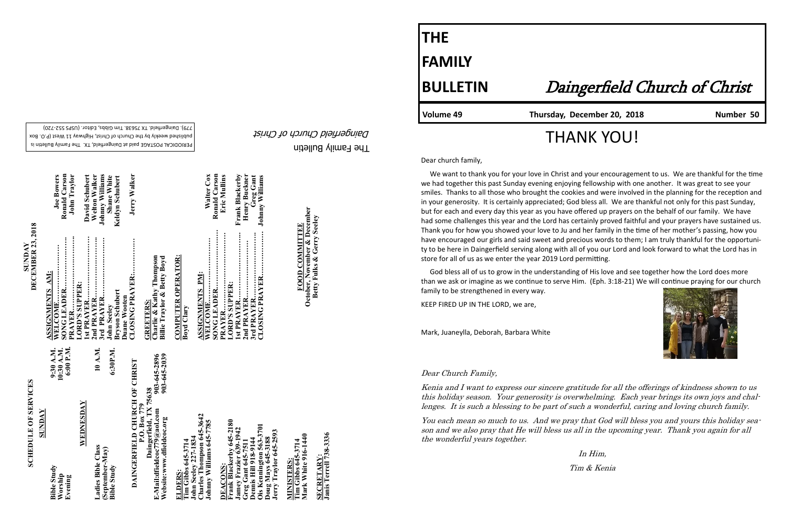The Family Bulletin Daingerfield Church of Christ

# **SCHEDULE OF SERVICES SCHEDULE OF SERVICES**

PERIODICAL POSTAGE paid at Daingerfield, TX. The Family Bulletin is published weekly by the Church of Christ, Highway 11 West (P.O. Box 720) - 779). Daingerfield. TX 75638. Tim Gibbs, Editor. (USPS 552

**SUNDAY**<br>**DECEMBER 23, 2018 DECEMBER 23, 2018** 

| <b><i>NACINUS</i></b>                                                                                                 |                                      |                                                                                        |                                                |
|-----------------------------------------------------------------------------------------------------------------------|--------------------------------------|----------------------------------------------------------------------------------------|------------------------------------------------|
| <b>Bible Study</b><br>Worship<br>Evening                                                                              | 6:00 P.M.<br>10:30 A.M.<br>9:30 A.M. | ASSIGNMENTS AM:<br>WELCOME                                                             | Ronald Carson<br><b>Joe Bowers</b>             |
| WEDNESDAY                                                                                                             |                                      | LORD'S SUPPER:<br>Ist PRAYER<br>PRAYER                                                 | David Schubert<br>John Traylor                 |
| Ladies Bible Class<br>(September-May)                                                                                 | 10 A.M.                              | <br><br>3rd PRAYER<br>2nd PRAYER                                                       | <b>Johnny Williams</b><br><b>Welton Walker</b> |
| <b>Bible Study</b>                                                                                                    | 6:30P.M.                             | <b>Bryson Schubert</b><br>John Seeley                                                  | <b>Shane White</b><br>Keldyn Schubert          |
| DAINGERFIELD CHURCH OF CHRIST                                                                                         |                                      | CLOSING PRAYER:<br>Duane Wooten                                                        | Jerry Walker                                   |
| Daingerfield, TX 75638<br>P.O. Box 779<br>E-Mail:dfieldcoc779@aol.com<br>Website:www.dfieldcoc.org                    | 903-645-2039<br>903-645-2896         | Charlie & Kathy Thompson<br><b>Billie Traylor &amp; Betty Boyd</b><br><b>GREETERS:</b> |                                                |
| Tim Gibbs 645-3714<br>ELDERS:                                                                                         |                                      | <b>COMPUTER OPERATOR:</b><br>Boyd Clary                                                |                                                |
| Charles Thompson 645-3642<br>Johnny Williams 645-7785<br>John Seeley 227-1834                                         |                                      | <b>WELCOME</b><br><b>ASSIGNMENTS PM:</b>                                               | Walter Cox                                     |
| Frank Blackerby 645-2180<br>DEACONS:                                                                                  |                                      | <br>PRAYER<br>LORD'S SUPPER:                                                           | Ronald Carson<br>Eric Mullins                  |
| Jamey Frazier 639-1942                                                                                                |                                      |                                                                                        | Frank Blackerby<br>Henry Buckner               |
| Ois Kennington 563-3701<br>Jerry Traylor 645-2593<br>Doug Mays 645-3188<br>Greg Gant 645-7511<br>Dennis Hill 918-9144 |                                      | CLOSING PRAYER                                                                         | Greg Gant<br><b>Johnny Williams</b>            |
| Tim Gibbs 645-3714<br><b>MINISTERS:</b>                                                                               |                                      |                                                                                        |                                                |
| Mark White 916-1440                                                                                                   |                                      | October, November & December<br>FOOD COMMITTEE                                         |                                                |
| SECRETARV.                                                                                                            |                                      | <b>Betty Fulks &amp; Gerry Seeley</b>                                                  |                                                |

**SECRETARY:**

<u>SECRETARY:</u><br>Janis Terrell 738-3336

**Janis Terrell 738-3336**

**Betty Fulks & Gerry Seeley**

## **THE FAMILY**

### **BULLETIN** Daingerfield Church of Christ

#### **Volume 49 Thursday, December 20, 2018 Number 50**



## THANK YOU!

Dear church family,

 We want to thank you for your love in Christ and your encouragement to us. We are thankful for the time we had together this past Sunday evening enjoying fellowship with one another. It was great to see your smiles. Thanks to all those who brought the cookies and were involved in the planning for the reception and in your generosity. It is certainly appreciated; God bless all. We are thankful not only for this past Sunday, but for each and every day this year as you have offered up prayers on the behalf of our family. We have had some challenges this year and the Lord has certainly proved faithful and your prayers have sustained us. Thank you for how you showed your love to Ju and her family in the time of her mother's passing, how you have encouraged our girls and said sweet and precious words to them; I am truly thankful for the opportunity to be here in Daingerfield serving along with all of you our Lord and look forward to what the Lord has in store for all of us as we enter the year 2019 Lord permitting.

 God bless all of us to grow in the understanding of His love and see together how the Lord does more than we ask or imagine as we continue to serve Him. (Eph. 3:18-21) We will continue praying for our church family to be strengthened in every way.

KEEP FIRED UP IN THE LORD, we are,

Mark, Juaneylla, Deborah, Barbara White

#### Dear Church Family,

Kenia and I want to express our sincere gratitude for all the offerings of kindness shown to us this holiday season. Your generosity is overwhelming. Each year brings its own joys and challenges. It is such a blessing to be part of such a wonderful, caring and loving church family.

You each mean so much to us. And we pray that God will bless you and yours this holiday season and we also pray that He will bless us all in the upcoming year. Thank you again for all the wonderful years together.

In Him,

Tim & Kenia